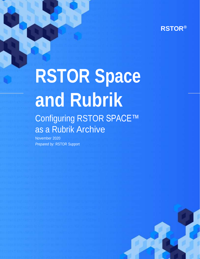# **RSTOR Space and Rubrik**

## Configuring RSTOR SPACE™ as a Rubrik Archive

November 2020 *Prepared by:* RSTOR Support

rstor.io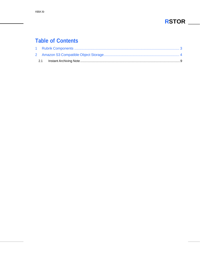#### **Table of Contents**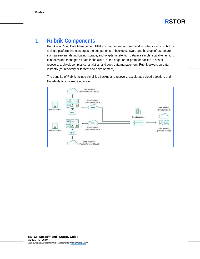#### <span id="page-2-0"></span>**1 Rubrik Components**

Rubrik is a Cloud Data Management Platform that can run on-prem and in public clouds. Rubrik is a single platform that converges the components of backup software and backup infrastructure such as servers, deduplicating storage, and long-term retention data in a simple, scalable fashion. It indexes and manages all data in the cloud, at the edge, or on-prem for backup, disaster recovery, archival, compliance, analytics, and copy data management. Rubrik powers on data instantly (for recovery or for test and development).

The benefits of Rubrik include simplified backup and recovery, accelerated cloud adoption, and the ability to automate at scale.

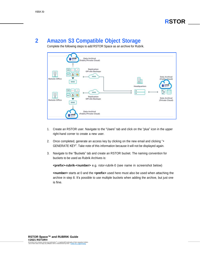#### <span id="page-3-0"></span>**2 Amazon S3 Compatible Object Storage**

Complete the following steps to add RSTOR Space as an archive for Rubrik.



- 1. Create an RSTOR user. Navigate to the "Users" tab and click on the "plus" icon in the upper right-hand corner to create a new user.
- 2. Once completed, generate an access key by clicking on the new email and clicking "+ GENERATE KEY". Take note of this information because it will not be displayed again.
- 3. Navigate to the "Buckets" tab and create an RSTOR bucket. The naming convention for buckets to be used as Rubrik Archives is:

**<prefix>-rubrik-<number>** e.g. rstor-rubrik-0 (see name in screenshot below)

**<number>** starts at 0 and the **<prefix>** used here must also be used when attaching the archive in step 8. It's possible to use multiple buckets when adding the archive, but just one is fine.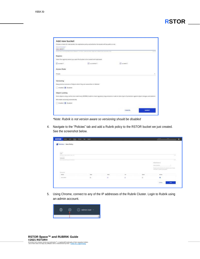|                                          | Choose a name for new butiket, the replication policy and whether the bucket will be public or net. |                                                                                                                                                                  |  |
|------------------------------------------|-----------------------------------------------------------------------------------------------------|------------------------------------------------------------------------------------------------------------------------------------------------------------------|--|
| Name of the backet P.<br>0-4/mlun-taster |                                                                                                     |                                                                                                                                                                  |  |
|                                          | Sold-services and policy entertainment in the company and the state of the service and              |                                                                                                                                                                  |  |
| Regions                                  |                                                                                                     |                                                                                                                                                                  |  |
|                                          | Select the regionts where you want the busket to be created and registated.                         |                                                                                                                                                                  |  |
| El useast f                              | Filemman Fil                                                                                        | El us excit 1                                                                                                                                                    |  |
| Access Mode                              |                                                                                                     |                                                                                                                                                                  |  |
| Private                                  |                                                                                                     |                                                                                                                                                                  |  |
| <b>TYMOUTH</b><br>Versioning             |                                                                                                     |                                                                                                                                                                  |  |
|                                          | Keep previous versions of objects when they are overentten or detered.                              |                                                                                                                                                                  |  |
| C Instinct (6) Creation                  |                                                                                                     |                                                                                                                                                                  |  |
| Object Locking                           |                                                                                                     |                                                                                                                                                                  |  |
|                                          |                                                                                                     | Store objects using a write once read-many (WORM) model to meet regulatory requirements or axid an oxits layer of protection agenct object changes and detellen. |  |
| MW awakle versioning outpressively.      |                                                                                                     |                                                                                                                                                                  |  |
| <b>Constant (B)</b> Chasterd             |                                                                                                     |                                                                                                                                                                  |  |
|                                          |                                                                                                     | <b>CONTRACTOR</b>                                                                                                                                                |  |

*\*Note: Rubrik is not version aware so versioning should be disabled*

4. Navigate to the "Policies" tab and add a Rubrik policy to the RSTOR bucket we just created. See the screenshot below.

| Policies - New Policy                                                                                                                                                                                                                                                                                                                                                                                                                                                      |                      |               |                            |               |                                                                                                                                                        |              |
|----------------------------------------------------------------------------------------------------------------------------------------------------------------------------------------------------------------------------------------------------------------------------------------------------------------------------------------------------------------------------------------------------------------------------------------------------------------------------|----------------------|---------------|----------------------------|---------------|--------------------------------------------------------------------------------------------------------------------------------------------------------|--------------|
| $\frac{1}{2} \left( \frac{1}{2} \right) \left( \frac{1}{2} \right) \left( \frac{1}{2} \right) \left( \frac{1}{2} \right) \left( \frac{1}{2} \right) \left( \frac{1}{2} \right) \left( \frac{1}{2} \right) \left( \frac{1}{2} \right) \left( \frac{1}{2} \right) \left( \frac{1}{2} \right) \left( \frac{1}{2} \right) \left( \frac{1}{2} \right) \left( \frac{1}{2} \right) \left( \frac{1}{2} \right) \left( \frac{1}{2} \right) \left( \frac{1}{2} \right) \left( \frac$ |                      |               |                            |               |                                                                                                                                                        |              |
| <b>Statement</b><br>$+0.6$<br>Television as a process construction and the                                                                                                                                                                                                                                                                                                                                                                                                 |                      |               |                            |               |                                                                                                                                                        | $\sim$       |
| and the company of the company<br>The prompture.                                                                                                                                                                                                                                                                                                                                                                                                                           |                      |               |                            |               |                                                                                                                                                        |              |
| 145,670<br>the control of the control of the<br>the car break in a control of the                                                                                                                                                                                                                                                                                                                                                                                          |                      |               |                            |               |                                                                                                                                                        | <b>Table</b> |
|                                                                                                                                                                                                                                                                                                                                                                                                                                                                            |                      |               |                            |               | <b>STATISTICS</b><br>All polices at                                                                                                                    |              |
|                                                                                                                                                                                                                                                                                                                                                                                                                                                                            |                      |               |                            |               | West European Commission Commission<br>and a state of the state of the control of the state of the state of the state of the state of the state of the |              |
|                                                                                                                                                                                                                                                                                                                                                                                                                                                                            |                      |               |                            |               | The painting and sends as the computations of found<br>present a programming                                                                           |              |
| $112 - 22$<br><b>Nominal</b>                                                                                                                                                                                                                                                                                                                                                                                                                                               |                      |               |                            |               |                                                                                                                                                        |              |
| $\frac{1}{2}$                                                                                                                                                                                                                                                                                                                                                                                                                                                              | $\sim$               | $\frac{1}{2}$ | <b>TOT</b><br><b>Total</b> | $\frac{1}{2}$ | of Good Care and Company and Care and<br>Artistic                                                                                                      |              |
| $199 - 664 + 0$                                                                                                                                                                                                                                                                                                                                                                                                                                                            | $\scriptstyle\rm II$ | 面             | 其                          | 耗             | ٠<br>                                                                                                                                                  |              |

5. Using Chrome, connect to any of the IP addresses of the Rubrik Cluster. Login to Rubrik using an admin account.

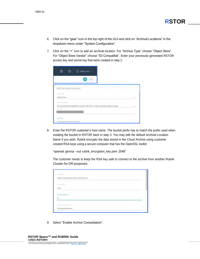- 6. Click on the "gear" icon in the top right of the GUI and click on "Archival Locations" in the dropdown menu under "System Configuration".
- 7. Click on the "+" icon to add an archival location. For "Archive Type" choose "Object Store". For "Object Store Vendor" choose "S3 Compatible". Enter your previously generated RSTOR access key and secret key that were created in step 2.

| $+ + +$                                      |  |
|----------------------------------------------|--|
| Add Archival Location<br><b>Extent Rapid</b> |  |
| Object Store                                 |  |
| <b>Thursday Street Company</b>               |  |

8. Enter the RSTOR customer's host name. The bucket prefix has to match the prefix used when creating the bucket in RSTOR back in step 3. You may edit the default Archival Location Name if you wish. Rubrik encrypts the data stored in the Cloud Archive using customer created RSA keys using a secure computer that has the OpenSSL toolkit.

"openssl genrsa –out rubrik\_encryption\_key.pem 2048"

The customer needs to keep the RSA key safe to connect to the archive from another Rubrik Cluster for DR purposes.

| <b>Hold Bank</b>                      | <b>ASSESSMENT</b> |  |  |
|---------------------------------------|-------------------|--|--|
| https://s3.customername.rstorcloud.io |                   |  |  |
| <b>Bookst Pints</b>                   |                   |  |  |
| rstor                                 |                   |  |  |
| <b>Number of Buckets</b>              |                   |  |  |
| ŋ                                     |                   |  |  |
| mission and a                         |                   |  |  |
| S3Compatible:rator                    |                   |  |  |

9. Select "Enable Archive Consolidation".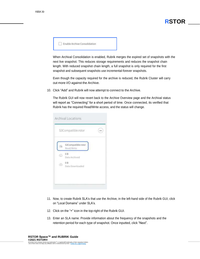| Enable Archive Consolidation |  |
|------------------------------|--|
|                              |  |

When Archival Consolidation is enabled, Rubrik merges the expired set of snapshots with the next live snapshot. This reduces storage requirements and reduces the snapshot chain length. With reduced snapshot chain length, a full snapshot is only required for the first snapshot and subsequent snapshots use incremental-forever snapshots.

Even though the capacity required for the archive is reduced, the Rubrik Cluster will carry out more I/O against the Archive.

10. Click "Add" and Rubrik will now attempt to connect to the Archive.

The Rubrik GUI will now revert back to the Archive Overview page and the Archival status will report as "Connecting" for a short period of time. Once connected, its verified that Rubrik has the required Read/Write access, and the status will change.

|    | S3Compatible:rstor               | 111 |
|----|----------------------------------|-----|
|    | S3Compatible:rstor<br>Read/Write |     |
|    | 08<br>Data Archived              |     |
| Ø) | OB<br>Data Downloaded            |     |

- 11. Now, to create Rubrik SLA's that use the Archive, in the left-hand side of the Rubrik GUI, click on "Local Domains" under SLA's.
- 12. Click on the "+" icon in the top-right of the Rubrik GUI.
- 13. Enter an SLA name. Provide information about the frequency of the snapshots and the retention period for each type of snapshot. Once inputted, click "Next".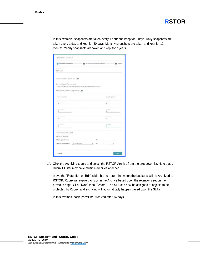

In this example, snapshots are taken every 1 hour and keep for 3 days. Daily snapshots are taken every 1 day and kept for 30 days. Monthly snapshots are taken and kept for 12 months. Yearly snapshots are taken and kept for 7 years.

| <b>Bad Prergeroscy and Resention</b>                                                                                  | <b>B</b> Interimaged top from (Sarlow) |                                | ۵<br><b>Toronto</b>     |
|-----------------------------------------------------------------------------------------------------------------------|----------------------------------------|--------------------------------|-------------------------|
| -ROTOR SCA                                                                                                            |                                        |                                |                         |
| Continuous Data Protection: ID                                                                                        |                                        |                                |                         |
| Service Level Agreement<br>Choose to you often yet saler or applicable and the fangith of tone last length structure. |                                        |                                |                         |
| Weekly and Quarterly Frequencies. [300                                                                                |                                        |                                |                         |
| Take Brugsinetts                                                                                                      |                                        | $1127 - 777$                   | <b>Hergs Snapsherry</b> |
| <b>Law Award</b><br>1                                                                                                 |                                        | <b>Service</b><br>$\mathbb{I}$ |                         |
| Firest Terminal<br>1                                                                                                  |                                        | <b>Syrikan</b><br>31           |                         |
| Form designed<br>1                                                                                                    |                                        | 'n                             |                         |
| ٠<br>j,                                                                                                               |                                        | <b>District</b><br>1           |                         |
| Local retention set to Tywers<br>Snapshot Mindow                                                                      |                                        |                                |                         |
| Take snapshots from:                                                                                                  |                                        | THE R. P.                      |                         |
| Take first full behaven: First Opportunity                                                                            | 7 ab.<br>$\sim$                        |                                |                         |

14. Click the Archiving toggle and select the RSTOR Archive from the dropdown list. Note that a Rubrik Cluster may have multiple archives attached.

Move the "Retention on Brik" slider bar to determine when the backups will be Archived to RSTOR. Rubrik will expire backups in the Archive based upon the retentions set on the previous page. Click "Next" then "Create". The SLA can now be assigned to objects to be protected by Rubrik, and archiving will automatically happen based upon the SLA's.

In this example backups will be Archived after 14 days.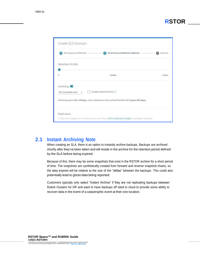| Create SLA Domain           |                                                                                                       |         |
|-----------------------------|-------------------------------------------------------------------------------------------------------|---------|
| Set Frequency and Retention | Set Archiving and Replication (Optional)                                                              | Summary |
| Retention On Brik           |                                                                                                       |         |
| ū                           | 14 days                                                                                               | 7 years |
| Archiving <b>CO</b>         |                                                                                                       |         |
| S3Compatible:rstor          | Enable Instant Archive                                                                                |         |
|                             | Archiving starts after 14 days, and is retained on the archival location for 6 years 351 days.        |         |
| Replication.                |                                                                                                       |         |
|                             | A replication target has not been set up yet. Please add a replication target to configure retention. |         |

#### <span id="page-8-0"></span>**2.1 Instant Archiving Note**

When creating an SLA, there is an option to instantly archive backups. Backups are archived shortly after they've been taken and will reside in the archive for the retention period defined by the SLA before being expired.

Because of this, there may be some snapshots that exist in the RSTOR archive for a short period of time. The snapshots are synthetically created from forward and reverse snapshot chains, so the data expired will be relative to the size of the "deltas" between the backups. This could also potentially lead to ghost data being reported.

Customers typically only select "Instant Archive" if they are not replicating backups between Rubrik Clusters for DR and want to have backups off sited to cloud to provide some ability to recover data in the event of a catastrophic event at their one location.